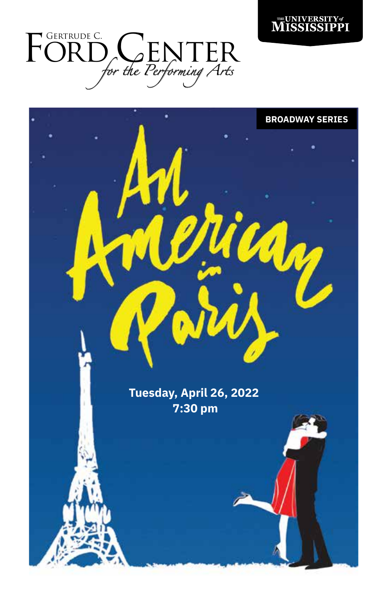



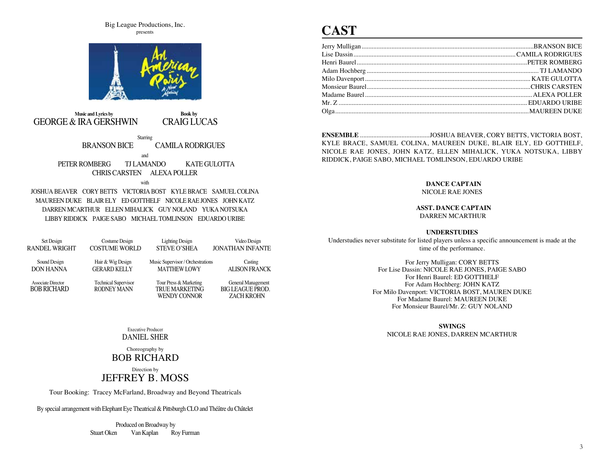Big League Productions, Inc. presents



 **Music and Lyrics by Book by** GEORGE & IRA GERSHWIN CRAIG LUCAS **Starring**  BRANSON BICE CAMILA RODRIGUES and PETER ROMBERG TJ LAMANDO KATE GULOTTA CHRIS CARSTEN ALEXA POLLER with

JOSHUA BEAVER CORY BETTS VICTORIA BOST KYLE BRACE SAMUEL COLINA MAUREEN DUKE BLAIR ELY ED GOTTHELF NICOLE RAE JONES JOHN KATZ DARREN MCARTHUR ELLEN MIHALICK GUY NOLAND YUKA NOTSUKA LIBBY RIDDICK PAIGE SABO MICHAEL TOMLINSON EDUARDO URIBE

| Set Design           | Costume Design              | <b>Lighting Design</b>            | Video Design            |
|----------------------|-----------------------------|-----------------------------------|-------------------------|
| <b>RANDEL WRIGHT</b> | <b>COSTUME WORLD</b>        | <b>STEVE O'SHEA</b>               | <b>JONATHAN INFANTE</b> |
|                      |                             |                                   |                         |
| Sound Design         | Hair & Wig Design           | Music Supervisor / Orchestrations | Casting                 |
| <b>DON HANNA</b>     | <b>GERARD KELLY</b>         | <b>MATTHEW LOWY</b>               | <b>ALISON FRANCK</b>    |
|                      |                             |                                   |                         |
| Associate Director   | <b>Technical Supervisor</b> | Tour Press & Marketing            | General Management      |
| <b>BOB RICHARD</b>   | <b>RODNEY MANN</b>          | <b>TRUE MARKETING</b>             | <b>BIG LEAGUE PROD.</b> |
|                      |                             | <b>WENDY CONNOR</b>               | <b>ZACH KROHN</b>       |

### Executive Producer DANIEL SHER

Choreography by BOB RICHARD

Direction by JEFFREY B. MOSS

Tour Booking: Tracey McFarland, Broadway and Beyond Theatricals

By special arrangement with Elephant Eye Theatrical & Pittsburgh CLO and Théâtre du Châtelet

 Produced on Broadway by Stuart Oken Van Kaplan Roy Furman

# **CAST**

**ENSEMBLE** ..........................................JOSHUA BEAVER, CORY BETTS, VICTORIA BOST, KYLE BRACE, SAMUEL COLINA, MAUREEN DUKE, BLAIR ELY, ED GOTTHELF, NICOLE RAE JONES, JOHN KATZ, ELLEN MIHALICK, YUKA NOTSUKA, LIBBY RIDDICK, PAIGE SABO, MICHAEL TOMLINSON, EDUARDO URIBE

### **DANCE CAPTAIN**

NICOLE RAE JONES

#### **ASST. DANCE CAPTAIN** DARREN MCARTHUR

### **UNDERSTUDIES**

Understudies never substitute for listed players unless a specific announcement is made at the time of the performance.

> For Jerry Mulligan: CORY BETTS For Lise Dassin: NICOLE RAE JONES, PAIGE SABO For Henri Baurel: ED GOTTHELF For Adam Hochberg: JOHN KATZ For Milo Davenport: VICTORIA BOST, MAUREN DUKE For Madame Baurel: MAUREEN DUKE For Monsieur Baurel/Mr. Z: GUY NOLAND

### **SWINGS**

NICOLE RAE JONES, DARREN MCARTHUR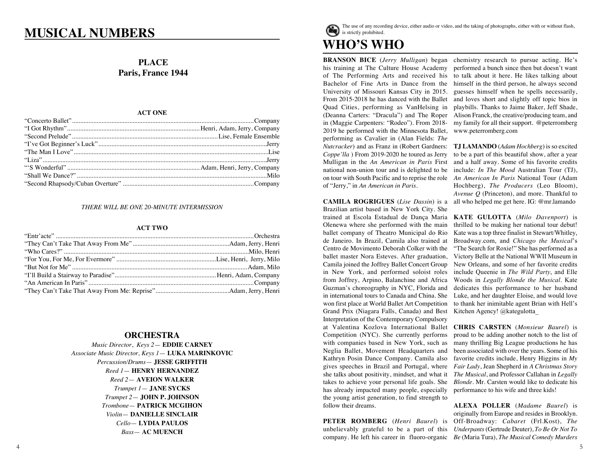# **MUSICAL NUMBERS** WILLOW **WE** is strictly prohibited.

# **PLACE Paris, France 1944**

#### **ACT ONE**  $\rm ACT~ONE$

# *THERE WILL BE ONE 20-MINUTE INTERMISSION* **ACT TWO**

#### **ACT TWO**  $ACT\,TWO$

## **ORCHESTRA**

**ORCHESTRA**  *Percussion/Drums*— **JESSE GRIFFITH** *Music Director*, *Keys 2*— **EDDIE CARNEY** *Reed 1*— **HENRY HERNANDEZ**  *Associate Music Director, Keys 1*— **LUKA MARINKOVIC** *Reed 2*— **AVEION WALKER**  $Trumpet 1 -$ **JANE SYCKS**  $Trumpet$  2 – **JOHN P. JOHNSON** *Reed 2*— **AVEION WALKER** *Trombone*— **PATRICK MCGIHON**  $Yiolin$  **DANIELLE SINCLAIR**  $Cello$  **LYDIA PAULOS**  $Bass$ — **AC MUENCH** *Music Director*, *Keys 2*— **EDDIE CARNEY** *Associate Music Director, Keys 1*— **LUKA MARINKOVIC**



**BRANSON BICE** (*Jerry Mulligan*) began his training at The Culture House Academy of The Performing Arts and received his Bachelor of Fine Arts in Dance from the University of Missouri Kansas City in 2015. From 2015-2018 he has danced with the Ballet Quad Cities, performing as VanHelsing in (Deanna Carters: "Dracula") and The Roper in (Maggie Carpenters: "Rodeo"). From 2018- 2019 he performed with the Minnesota Ballet, performing as Cavalier in (Alan Fields: *The Nutcracker*) and as Franz in (Robert Gardners: *Coppe'lla* ) From 2019-2020 he toured as Jerry Mulligan in the *An American in Paris* First national non-union tour and is delighted to be on tour with South Pacific and to reprise the role of "Jerry," in *An American in Paris*.

**CAMILA ROGRIGUES** (*Lise Dassin*) is a Brazilian artist based in New York City. She trained at Escola Estadual de Dança Maria Olenewa where she performed with the main ballet company of Theatro Municipal do Rio de Janeiro. In Brazil, Camila also trained at Centro de Movimento Deborah Colker with the ballet master Nora Esteves. After graduation, Camila joined the Joffrey Ballet Concert Group in New York, and performed soloist roles from Joffrey, Arpino, Balanchine and Africa Guzman's choreography in NYC, Florida and in international tours to Canada and China. She won first place at World Ballet Art Competition Grand Prix (Niagara Falls, Canada) and Best Interpretation of the Contemporary Compulsory at Valentina Kozlova International Ballet Competition (NYC). She currently performs with companies based in New York, such as Neglia Ballet, Movement Headquarters and Kathryn Posin Dance Company. Camila also gives speeches in Brazil and Portugal, where she talks about positivity, mindset, and what it takes to achieve your personal life goals. She has already impacted many people, especially the young artist generation, to find strength to follow their dreams.

**PETER ROMBERG** (*Henri Baurel*) is unbelievably grateful to be a part of this company. He left his career in fluoro-organic *Be* (Maria Tura), *The Musical Comedy Murders* 

chemistry research to pursue acting. He's performed a bunch since then but doesn't want to talk about it here. He likes talking about himself in the third person, he always second guesses himself when he spells necessarily, and loves short and slightly off topic bios in playbills. Thanks to Jaime Baker, Jeff Shade, Alison Franck, the creative/producing team, and my family for all their support. @peterromberg www.peterromberg.com

**TJ LAMANDO** (*Adam Hochberg*) is so excited to be a part of this beautiful show, after a year and a half away. Some of his favorite credits include: *In The Mood* Australian Tour (TJ), *An American In Paris* National Tour (Adam Hochberg), *The Producers* (Leo Bloom), *Avenue Q* (Princeton), and more. Thankful to all who helped me get here. IG: @mr.lamando

**KATE GULOTTA** (*Milo Davenport*) is thrilled to be making her national tour debut! Kate was a top three finalist in Stewart/Whitley, Broadway.com, and *Chicago the Musical*'s "The Search for Roxie!" She has performed as a Victory Belle at the National WWII Museum in New Orleans, and some of her favorite credits include Queenie in *The Wild Party*, and Elle Woods in *Legally Blonde the Musical*. Kate dedicates this performance to her husband Luke, and her daughter Eloise, and would love to thank her inimitable agent Brian with Hell's Kitchen Agency! @kategulotta\_

**CHRIS CARSTEN** (*Monsieur Baurel*) is proud to be adding another notch to the list of many thrilling Big League productions he has been associated with over the years. Some of his favorite credits include, Henry Higgins in *My Fair Lady*, Jean Shepherd in *A Christmas Story The Musical*, and Professor Callahan in *Legally Blonde.* Mr. Carsten would like to dedicate his performance to his wife and three kids!

**ALEXA POLLER** (*Madame Baurel*) is originally from Europe and resides in Brooklyn. Off-Broadway: *Cabaret* (Frl.Kost), *The Underpants* (Gertrude Deuter), *To Be Or Not To*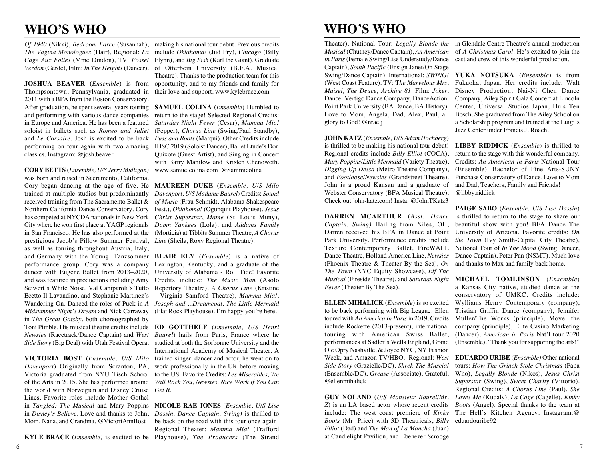# **WHO'S WHO**

*The Vagina Monologues* (Hair), Regional: *La Cage Aux Folles* (Mme Dindon), TV: *Fosse/*

**JOSHUA BEAVER** (*Ensemble*) is from opportunity, and to my friends and family for Thompsontown, Pennsylvania, graduated in 2011 with a BFA from the Boston Conservatory. After graduation, he spent several years touring **SAMUEL COLINA** (*Ensemble*) Humbled to and performing with various dance companies return to the stage! Selected Regional Credits: in Europe and America. He has been a featured soloist in ballets such as *Romeo and Juliet* (Pepper), *Chorus Line* (Swing/Paul Standby), and *Le Corsaire*. Josh is excited to be back *Puss and Boots* (Marqui). Other Credits include performing on tour again with two amazing IHSC 2019 (Soloist Dancer), Ballet Etude's Don classics. Instagram: @josh.beaver

**CORY BETTS** (*Ensemble, U/S Jerry Mulligan)*  www.samuelcolina.com @Sammicolina was born and raised in Sacramento, California. Cory began dancing at the age of five. He **MAUREEN DUKE** (*Ensemble, U/S Milo*  trained at multiple studios but predominantly *Davenport, U/S Madame Baurel*) Credits: *Sound*  received training from The Sacramento Ballet & *of Music* (Frau Schmidt, Alabama Shakespeare Northern California Dance Conservatory. Cory Fest.), *Oklahoma!* (Ogunquit Playhouse), *Jesus*  has competed at NYCDA nationals in New York *Christ Superstar*, *Mame* (St. Louis Muny), City where he won first place at YAGP regionals *Damn Yankees* (Lola), and *Addams Family* in San Francisco. He has also performed at the (Morticia) at Tibbits Summer Theatre, *A Chorus*  prestigious Jacob's Pillow Summer Festival, *Line* (Sheila, Roxy Regional Theatre). as well as touring throughout Austria, Italy, and Germany with the Young! Tanzsommer **BLAIR ELY** (*Ensemble*) is a native of performance group. Cory was a company dancer with Eugene Ballet from 2013–2020, University of Alabama - Roll Tide! Favorite and was featured in productions including Amy Credits include: *The Music Man* (Asolo Seiwert's White Noise, Val Caniparoli's Tutto Repertory Theatre), *A Chorus Line* (Kristine Ecetto Il Lavandino, and Stephanie Martinez's Wandering On. Danced the roles of Puck in *A Joseph and ...Dreamcoat, The Little Mermaid Midsummer Night's Dream* and Nick Carraway (Flat Rock Playhouse). I'm happy you're here. in *The Great Gatsby*, both choreographed by Toni Pimble. His musical theatre credits include **ED GOTTHELF** (*Ensemble, U/S Henri Newsies* (Racetrack/Dance Captain) and *West Baurel*) hails from Paris, France where he *Side Story* (Big Deal) with Utah Festival Opera. studied at both the Sorbonne University and the

**VICTORIA BOST** (*Ensemble, U/S Milo Davenport*) Originally from Scranton, PA, Victoria graduated from NYU Tisch School of the Arts in 2015. She has performed around *Will Rock You, Newsies, Nice Work If You Can*  the world with Norwegian and Disney Cruise *Get It*. Lines. Favorite roles include Mother Gothel in *Tangled: The Musical* and Mary Poppins **NICOLE RAE JONES** (*Ensemble, U/S Lise*  in *Disney's Believe*. Love and thanks to John, *Dassin, Dance Captain, Swing)* is thrilled to Mom, Nana, and Grandma. @VictoriAnnBost

*Of 1940* (Nikki), *Bedroom Farce* (Susannah), making his national tour debut. Previous credits *Verdon* (Gerde), Film: *In The Heights* (Dancer). of Otterbein University (B.F.A. Musical include *Oklahoma!* (Jud Fry), *Chicago* (Billy Flynn), and *Big Fish* (Karl the Giant). Graduate Theatre). Thanks to the production team for this their love and support. www.kylebrace.com

> *Saturday Night Fever* (Cesar), *Mamma Mia!*  Quixote (Guest Artist), and Singing in Concert with Barry Manilow and Kristen Chenoweth.

Lexington, Kentucky; and a graduate of the - Virginia Samford Theatre), *Mamma Mia!,*

International Academy of Musical Theater. A trained singer, dancer and actor, he went on to work professionally in the UK before moving to the US. Favorite Credits: *Les Miserables, We* 

**KYLE BRACE** (*Ensemble)* is excited to be Playhouse), *The Producers* (The Strand be back on the road with this tour once again! Regional Theater: *Mamma Mia!* (Trafford

# **WHO'S WHO**

Theater). National Tour: *Legally Blonde the Musical* (Chutney/Dance Captain), *An American in Paris* (Female Swing/Lise Understudy/Dance Captain), *South Pacific* (Ensign Janet/On Stage (West Coast Feature). TV: T*he Marvelous Mrs.*  Dance: Vertigo Dance Company, DanceAction. Point Park University (BA Dance, BA History). Love to Mom, Angela, Dad, Alex, Paul, all glory to God! @nrae.j

**JOHN KATZ** (*Ensemble, U/S Adam Hochberg*) is thrilled to be making his national tour debut! Regional credits include *Billy Elliot* (COCA), *Mary Poppins/Little Mermaid* (Variety Theatre), *Digging Up Dessa* (Metro Theatre Company), and *Footloose/Newsies* (Grandstreet Theatre). John is a proud Kansan and a graduate of Webster Conservatory (BFA Musical Theatre). Check out john-katz.com! Insta: @JohnTKatz3

**DARREN MCARTHUR** (*Asst. Dance Captain, Swing)* Hailing from Niles, OH, Darren received his BFA in Dance at Point Park University. Performance credits include Texture Contemporary Ballet, FireWALL Dance Theatre, Holland America Line, *Newsies*  (Phoenix Theatre & Theater By the Sea), *On The Town* (NYC Equity Showcase), *Elf The Musical* (Fireside Theatre), and *Saturday Night Fever* (Theater By The Sea).

**ELLEN MIHALICK** (*Ensemble*) is so excited to be back performing with Big League! Ellen toured with *An America In Paris* in 2019. Credits include Rockette (2013-present), international touring with American Swiss Ballet, performances at Sadler's Wells England, Grand Ole Opry Nashville, & Joyce NYC, NY Fashion Week, and Amazon TV/HBO. Regional: *West Side Story* (Grazielle/DC), *Shrek The Muscial*  (Ensemble/DC), *Grease* (Associate). Grateful. @ellenmihalick

**GUY NOLAND** (*U/S Monsieur Baurel/Mr. Z*) is an LA based actor whose recent credits include: The west coast premiere of *Kinky Boots* (Mr. Price) with 3D Theatricals, *Billy Elliot* (Dad) and *The Man of La Mancha* (Juan) at Candlelight Pavilion, and Ebenezer Scrooge

in Glendale Centre Theatre's annual production of *A Christmas Carol*. He's excited to join the cast and crew of this wonderful production.

Swing/Dance Captain). International: *SWING!* **YUKA NOTSUKA** (*Ensemble*) is from *Maisel, The Deuce, Archive 81*. Film: *Joker.*  Disney Production, Nai-Ni Chen Dance Fukuoka, Japan. Her credits include; Walt Company, Ailey Spirit Gala Concert at Lincoln Center, Universal Studios Japan, Huis Ten Bosch. She graduated from The Ailey School on a Scholarship program and trained at the Luigi's Jazz Center under Francis J. Roach.

> **LIBBY RIDDICK** (*Ensemble*) is thrilled to return to the stage with this wonderful company. Credits: *An American in Paris* National Tour (Ensemble). Bachelor of Fine Arts-SUNY Purchase Conservatory of Dance. Love to Mom and Dad, Teachers, Family and Friends! @libby.riddick

> **PAIGE SABO** (*Ensemble, U/S Lise Dassin*) is thrilled to return to the stage to share our beautiful show with you! BFA Dance The University of Arizona. Favorite credits: *On the Town* (Ivy Smith-Capital City Theatre), National Tour of *In The Mood* (Swing Dancer, Dance Captain), Peter Pan (NSMT). Much love and thanks to Max and family back home.

> **MICHAEL TOMLINSON** (*Ensemble*) a Kansas City native, studied dance at the conservatory of UMKC. Credits include: Wylliams Henry Contemporary (company), Tristian Griffin Dance (company), Jennifer Muller/The Works (principle), Move: the company (principle), Elite Casino Marketing (Dancer), *American in Paris* Nat'l tour 2020 (Ensemble). "Thank you for supporting the arts!"

**EDUARDO URIBE** (*Ensemble)* Other national tours: *How The Grinch Stole Christmas* (Papa Who), *Legally Blonde* (Nikos), *Jesus Christ Superstar* (Swing), *Sweet Charity* (Vittorio). Regional Credits: *A Chorus Line* (Paul), *She Loves Me* (Kudaly), *La Cage* (Cagelle), *Kinky Boots* (Angel). Special thanks to the team at The Hell's Kitchen Agency. Instagram:@ eduardouribe92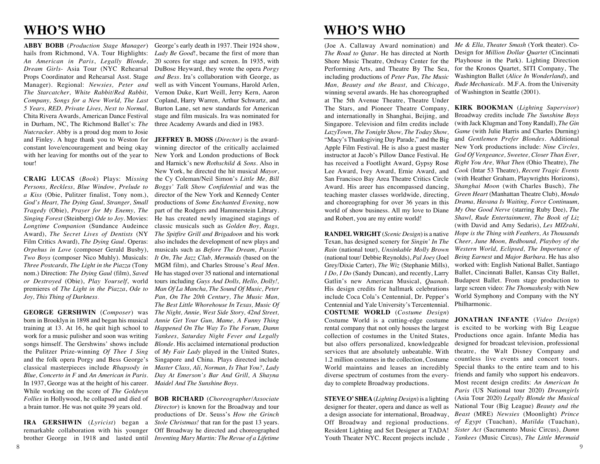# **WHO'S WHO**

*An American in Paris*, *Legally Blonde,*  Manager). Regional: *Newsies, Peter and The Starcatcher, White Rabbit/Red Rabbit, Company, Songs for a New World, The Last 5 Years, RED, Private Lives, Next to Normal,*  Chita Rivera Awards, American Dance Festival in Durham, NC, The Richmond Ballet's: *The Nutcracker*. Abby is a proud dog mom to Josie and Finley. A huge thank you to Weston for **JEFFREY B. MOSS** (*Director)* is the awardconstant love/encouragement and being okay with her leaving for months out of the year to tour!

**CRAIG LUCAS** (*Book*) Plays: M*issing Persons, Reckless, Blue Window, Prelude to a Kiss* (Obie, Pulitzer finalist, Tony nom.), *God's Heart, The Dying Gaul, Stranger, Small Tragedy* (Obie), *Prayer for My Enemy, The*  Film Critics Award), *The Dying Gaul*. Operas: *Orpehus in Love* (composer Gerald Busby), *Three Postcards, The Light in the Piazza* (Tony *or Destroyed* (Obie), *Play Yourself*, world premieres of *The Light in the Piazza*, *Ode to Joy, This Thing of Darkness*.

born in Brooklyn in 1898 and began his musical training at 13. At 16, he quit high school to work for a music pulisher and soon was writing the Pulitzer Prize-winning *Of Thee I Sing* and the folk opera Porgy and Bess George's In 1937, George was at the height of his career. *Maidel And The Sunshine Boys.*  While working on the score of *The Goldwyn Follies* in Hollywood, he collapsed and died of **BOB RICHARD** (*Choreographer/Associate*  a brain tumor. He was not quite 39 years old.

**ABBY BOBB** (*Production Stage Manager*) George's early death in 1937. Their 1924 show, hails from Richmond, VA. Tour Highlights: *Lady Be Good*!, became the first of more than *Dream Girls*- Asia Tour (NYC Rehearsal DuBose Heyward, they wrote the opera *Porgy*  Props Coordinator and Rehearsal Asst. Stage *and Bess.* Ira's collaboration with George, as 20 scores for stage and screen. In 1935, with well as with Vincent Youmans, Harold Arlen, Vernon Duke, Kurt Weill, Jerry Kern, Aaron Copland, Harry Warren, Arthur Schwartz, and Burton Lane, set new standards for American stage and film musicals. Ira was nominated for three Academy Awards and died in 1983.

*Singing Forest* (Steinberg) *Ode to Joy.* Movies: He has created newly imagined stagings of Longtime Companion (Sundance Audeince classic musicals such as *Golden Boy, Rags,* Award), *The Secret Lives of Dentists* (NY *The Spitfire Grill and Brigadoon* and his work *Two Boys* (composer Nico Muhly). Musicals: *It On, The Jazz Club, Mermaids* (based on the nom.) Direction: *The Dying Gaul* (film), *Saved*  He has staged over 35 national and international **GEORGE GERSHWIN** (*Composer*) was *The Night, Annie, West Side Story, 42nd Street,*  songs himself. The Gershwins' shows include *Blonde.* His acclaimed international production classical masterpieces include *Rhapsody in Master Class, Ali, Norman, Is That You?, Lady Blue, Concerto in F* and *An American in Paris. Day At Emerson's Bar And Grill, A Shayna*  winning director of the critically acclaimed New York and London productions of Bock and Harnick's new *Rothschild & Sons.* Also in New York, he directed the hit musical *Mayor*, the Cy Coleman/Neil Simon's *Little Me, Bill Boggs' Talk Show Confidential* and was the director of the New York and Kennedy Center productions of *Some Enchanted Evening*, now part of the Rodgers and Hammerstein Library. also includes the development of new plays and musicals such as *Before The Dream, Passin'*  MGM film), and Charles Strouse's *Real Men*. tours including *Guys And Dolls, Hello, Dolly!, Man Of La Mancha, The Sound Of Music, Peter Pan, On The 20th Century, The Music Man, The Best Little Whorehouse In Texas, Music Of Annie Get Your Gun, Mame, A Funny Thing Happened On The Way To The Forum, Damn Yankees, Saturday Night Fever and Legally*  of *My Fair Lady* played in the United States, Singapore and China. Plays directed include

**IRA GERSHWIN** (*Lyricist*) began a *Stole Christmas!* that ran for the past 13 years. remarkable collaboration with his younger Off Broadway he directed and choreographed brother George in 1918 and lasted until *Inventing Mary Martin: The Revue of a Lifetime Director*) is known for the Broadway and tour productions of Dr. Seuss's *How the Grinch* 

# **WHO'S WHO**

(Joe A. Callaway Award nomination) and *The Road to Qatar*. He has directed at North Shore Music Theatre, Ordway Center for the Performing Arts, and Theatre By The Sea, including productions of *Peter Pan, The Music Man, Beauty and the Beast,* and *Chicago*, winning several awards. He has choreographed at The 5th Avenue Theatre, Theatre Under The Stars, and Pioneer Theatre Company, and internationally in Shanghai, Beijing, and Singapore. Television and film credits include *LazyTown, The Tonight Show, The Today Show,* "Macy's Thanksgiving Day Parade," and the Big Apple Film Festival. He is also a guest master instructor at Jacob's Pillow Dance Festival. He has received a Footlight Award, Gypsy Rose Lee Award, Ivey Award, Ernie Award, and San Francisco Bay Area Theatre Critics Circle Award. His areer has encompassed dancing, teaching master classes worldwide, directing, and choreographing for over 36 years in this world of show business. All my love to Diane and Robert, you are my entire world!

**RANDEL WRIGHT** (*Scenic Design*) is a native Texan, has designed scenery for *Singin' In The Rain* (national tour), *Unsinkable Molly Brown* (national tour/ Debbie Reynolds), *Pal Joey* (Joel Grey/Dixie Carter), *The Wiz* (Stephanie Mills), *I Do, I Do* (Sandy Duncan), and recently, Larry Gatlin's new American Musical, *Quanah.* His design credits for hallmark celebrations include Coca Cola's Centennial, Dr. Pepper's Centennial and Yale University's Tercentennial. **COSTUME WORLD** (*Costume Design*) Costume World is a cutting-edge costume rental company that not only houses the largest collection of costumes in the United States, but also offers personalized, knowledgeable services that are absolutely unbeatable. With 1.2 million costumes in the collection, Costume World maintains and leases an incredibly diverse spectrum of costumes from the everyday to complete Broadway productions.

**STEVE O' SHEA** (*Lighting Design*) is a lighting designer for theater, opera and dance as well as a design associate for international, Broadway, Off Broadway and regional productions. Resident Lighting and Set Designer at TADA! Youth Theater NYC. Recent projects include , *Yankees* (Music Circus), *The Little Mermaid*

*Me & Ella, Theater Smash* (York theater). Co-Design for *Million Dollar Quartet* (Cincinnati Playhouse in the Park). Lighting Direction for the Kronos Quartet, SITI Company, The Washington Ballet (*Alice In Wonderland*), and *Rude Mechanicals*. M.F.A. from the University of Washington in Seattle (2001).

**KIRK BOOKMAN** (*Lighting Supervisor*) Broadway credits include *The Sunshine Boys*  (with Jack Klugman and Tony Randall), *The Gin Game* (with Julie Harris and Charles Durning) and *Gentlemen Prefer Blondes*. Additional New York productions include: *Nine Circles, God Of Vengeance, Sweetee, Closer Than Ever, Right You Are, What Then* (Ohio Theatre), *The Cook* (Intar 53 Theatre), *Recent Tragic Events*  (with Heather Graham, Playwrights Horizons), *Shanghai Moon* (with Charles Busch), *The Green Heart* (Manhattan Theatre Club), *Mondo Drama, Havana Is Waiting, Force Continuum, My One Good Nerve* (starring Ruby Dee), *The Shawl, Rude Entertainment, The Book of Liz*  (with David and Amy Sedaris), *Les MIZrahi, Hope is the Thing with Feathers, As Thousands Cheer, June Moon, Bedbound, Playboy of the Western World, Eclipsed, The Importance of Being Earnest* and *Major Barbara*. He has also worked with: English National Ballet, Santiago Ballet, Cincinnati Ballet, Kansas City Ballet, Budapest Ballet. From stage production to large screen video: *The Thomashesky* with New World Symphony and Company with the NY Philharmonic.

**JONATHAN INFANTE** (*Video Design*) is excited to be working with Big League Productions once again. Infante Media has designed for broadcast television, professional theatre, the Walt Disney Company and countless live events and concert tours. Special thanks to the entire team and to his friends and family who support his endeavors. Most recent design credits: *An American In Paris* (US National tour 2020) *Dreamgirls* (Asia Tour 2020) *Legally Blonde the Musical* National Tour (Big League) *Beauty and the Beast* (MRE) *Newsies* (Moonlight) *Prince of Egypt* (Tuachan), *Matilda* (Tuachan), *Sister Act* (Sacramento Music Circus), *Damn*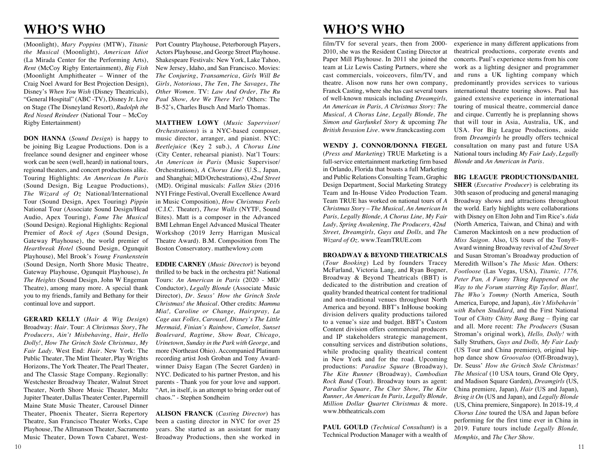# **WHO'S WHO**

(Moonlight), *Mary Poppins* (MTW), *Titanic the Musical* (Moonlight), *American Idiot*  (La Mirada Center for the Performing Arts), *Rent* (McCoy Rigby Entertainment), *Big Fish*  (Moonlight Amphitheater – Winner of the Craig Noel Award for Best Projection Design), Disney's *When You Wish* (Disney Theatricals), "General Hospital" (ABC -TV), Disney Jr. Live on Stage (The Disneyland Resort), *Rudolph the Red Nosed Reindeer* (National Tour – McCoy Rigby Entertainment)

**DON HANNA** (*Sound Design*) is happy to be joining Big League Productions. Don is a freelance sound designer and engineer whose work can be seen (well, heard) in national tours, regional theaters, and concert productions alike. Touring Highlights: *An American In Paris* (Sound Design, Big League Productions), *The Wizard of Oz* National/International Tour (Sound Design, Apex Touring) *Pippin* National Tour (Associate Sound Design/Head Audio, Apex Touring), *Fame The Musical* (Sound Design). Regional Highlights: Regional Premier of *Rock of Ages* (Sound Design, Gateway Playhouse), the world premier of *Heartbreak Hotel* (Sound Design, Ogunquit Playhouse), Mel Brook's *Young Frankenstein* (Sound Design, North Shore Music Theatre, **EDDIE CARNEY** (*Music Director*) is beyond Gateway Playhouse, Ogunquit Playhouse), *In The Heights* (Sound Design, John W Engeman Theatre), among many more. A special thank you to my friends, family and Bethany for their continual love and support.

**GERARD KELLY** (*Hair & Wig Design*) Broadway: *Hair*. Tour: *A Christmas Story*, *The Producers*, *Ain't Misbehaving*, *Hair*, *Hello Dolly!*, *How The Grinch Stole Christmas*, *My Fair Lady*. West End: *Hair*. New York: The Public Theater, The Mint Theater, Play Wrights Horizons, The York Theater, The Pearl Theater, and The Classic Stage Company. Regionally: Westchester Broadway Theater, Walnut Street Theater, North Shore Music Theater, Maltz Jupiter Theater, Dallas Theater Center, Papermill Maine State Music Theater, Carousel Dinner Theater, Phoenix Theater, Sierra Repertory Theatre, San Francisco Theater Works, Cape Playhouse, The Allmanson Theater, Sacramento Music Theater, Down Town Cabaret, West-

Port Country Playhouse, Peterborough Players, Actors Playhouse, and George Street Playhouse. Shakespeare Festivals: New York, Lake Tahoo, New Jersey, Idaho, and San Francisco. Movies: *The Conjuring*, *Transamerica*, *Girls Will Be Girls*, *Notorious*, *The Ten*, *The Savages*, *The Other Women*. TV: *Law And Order, The Ru Paul Show, Are We There Yet?* Others: The B-52's, Charles Busch And Marlo Thomas.

**MATTHEW LOWY** (*Music Supervisor/ Orchestrations*) is a NYC-based composer, music director, arranger, and pianist. NYC: *Beetlejuice* (Key 2 sub.), *A Chorus Line*  (City Center, rehearsal pianist). Nat'l Tours: *An American in Paris* (Music Supervisor/ Orchestrations), *A Chorus Line* (U.S., Japan, and Shanghai; MD/Orchestrations), *42nd Street*  (MD). Original musicals: *Fallen Skies* (2016 NYI Fringe Festival, Overall Excellence Award in Music Composition), *How Christmas Feels* (C.I.C. Theater), *These Walls* (NYTF, Sound Bites). Matt is a composer in the Advanced BMI Lehman Engel Advanced Musical Theater Workshop (2019 Jerry Harrigan Musical Theatre Award). B.M. Composition from The Boston Conservatory. matthewlowy.com

thrilled to be back in the orchestra pit! National Tours: *An American in Paris* (2020 - MD/ Conductor), *Legally Blonde* (Associate Music Director), *Dr. Seuss' How the Grinch Stole Christmas! the Musical*. Other credits: *Mamma Mia!, Caroline or Change, Hairspray, La Cage aux Folles, Carousel, Disney's The Little Mermaid, Finian's Rainbow, Camelot, Sunset Boulevard, Ragtime, Show Boat, Chicago, Urinetown, Sunday in the Park with George*, and more (Northeast Ohio). Accompanied Platinum recording artist Josh Groban and Tony Awardwinner Daisy Eagan (The Secret Garden) in NYC. Dedicated to his partner Preston, and his parents - Thank you for your love and support. "Art, in itself, is an attempt to bring order out of chaos." - Stephen Sondheim

**ALISON FRANCK** (*Casting Director*) has been a casting director in NYC for over 25 years. She started as an assistant for many Broadway Productions, then she worked in

film/TV for several years, then from 2000- 2010, she was the Resident Casting Director at Paper Mill Playhouse. In 2011 she joined the team at Liz Lewis Casting Partners, where she cast commercials, voiceovers, film/TV, and theatre. Alison now runs her own company, Franck Casting, where she has cast several tours of well-known musicals including *Dreamgirls, An American in Paris, A Christmas Story: The Musical, A Chorus Line, Legally Blonde, The Simon and Garfunkel Story* & upcoming *The British Invasion Live*. www.franckcasting.com

**WENDY J. CONNOR/DONNA FIEGEL**  (*Press and Marketing*) TRUE Marketing is a full-service entertainment marketing firm based in Orlando, Florida that boasts a full Marketing and Public Relations Consulting Team, Graphic **BIG LEAGUE PRODUCTIONS/DANIEL**  Design Department, Social Marketing Strategy Team and In-House Video Production Team. Team TRUE has worked on national tours of *A Christmas Story – The Musical, An American In Paris, Legally Blonde, A Chorus Line, My Fair Lady, Spring Awakening, The Producers, 42nd Street, Dreamgirls, Guys and Dolls,* and *The Wizard of Oz.* www.TeamTRUE.com

### **BROADWAY & BEYOND THEATRICALS**

(*Tour Booking*) Led by founders Tracey McFarland, Victoria Lang, and Ryan Bogner, Broadway & Beyond Theatricals (BBT) is dedicated to the distribution and creation of quality branded theatrical content for traditional and non-traditional venues throughout North America and beyond. BBT's InHouse booking division delivers quality productions tailored to a venue's size and budget. BBT's Custom Content division offers commercial producers and IP stakeholders strategic management, consulting services and distribution solutions, while producing quality theatrical content in New York and for the road. Upcoming productions: *Paradise Square* (Broadway), *The Kite Runner* (Broadway), *Cambodian Rock Band* (Tour). Broadway tours as agent: *Paradise Square, The Cher Show, The Kite Runner, An American In Paris, Legally Blonde, Million Dollar Quartet Christmas* & more. www.bbtheatricals.com

**PAUL GOULD** (*Technical Consultant*) is a Technical Production Manager with a wealth of

experience in many different applications from theatrical productions, corporate events and concerts. Paul's experience stems from his core work as a lighting designer and programmer and runs a UK lighting company which predominantly provides services to various international theatre touring shows. Paul has gained extensive experience in international touring of musical theatre, commercial dance and cirque. Currently he is preplanning shows that will tour in Asia, Australia, UK, and USA. For Big League Productions, aside from *Dreamgirls* he proudly offers technical consultation on many past and future USA National tours including *My Fair Lady*, *Legally Blonde* and *An American in Paris*.

**SHER** (*Executive Producer*) is celebrating its 30th season of producing and general managing Broadway shows and attractions throughout the world. Early highlights were collaborations with Disney on Elton John and Tim Rice's *Aida*  (North America, Taiwan, and China) and with Cameron Mackintosh on a new production of *Miss Saigon*. Also, US tours of the Tony®- Award winning Broadway revival of *42nd Street*  and Susan Stroman's Broadway production of Meredith Willson's *The Music Man*. Others: *Footloose* (Las Vegas, USA), *Titanic, 1776, Peter Pan, A Funny Thing Happened on the Way to the Forum starring Rip Taylor, Blast!, The Who's Tommy* (North America, South America, Europe, and Japan), *Ain't Misbehavin' with Ruben Studdard*, and the First National Tour of *Chitty Chitty Bang Bang* – flying car and all. More recent: *The Producers* (Susan Stroman's original work), *Hello, Dolly!* with Sally Struthers, *Guys and Dolls, My Fair Lady*  (US Tour and China premiere), original hiphop dance show *Groovaloo* (Off-Broadway), Dr. Seuss' *How the Grinch Stole Christmas! The Musical* (10 USA tours, Grand Ole Opry, and Madison Square Garden), *Dreamgirls* (US, China premiere, Japan), *Hair* (US and Japan), *Bring it On* (US and Japan), and *Legally Blonde* (US, China premiere, Singapore). In 2018-19, *A Chorus Line* toured the USA and Japan before performing for the first time ever in China in 2019. Future tours include *Legally Blonde, Memphis*, and *The Cher Show*.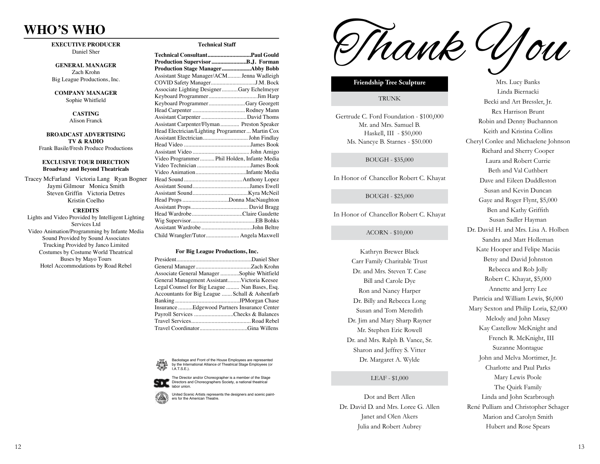## **WHO'S WHO**  $\frac{1}{2}$

**EXECUTIVE PRODUCER** Daniel Sher

**GENERAL MANAGER** Zach Krohn Big League Productions, Inc. Alison Franck

**COMPANY MANAGER** Sophie Whitfield **TV & RADIO**

#### $CASTING$ Alison Franck

**BROADCAST ADVERTISING** TV & RADIO Frank Basile/Fresh Produce Productions

#### **EXCLUSIVE TOUR DIRECTION Broadway and Beyond Theatricals** IVE TOUR DL

Tracey McFarland Victoria Lang Ryan Bogner Jaymi Gilmour Monica Smith Steven Griffin Victoria Detres Kristin Coelho Lights are Victoria Lang Ryan Bogne

### **CREDITS**

Lights and Video Provided by Intelligent Lighting Services Ltd Video Animation/Programming by Infante Media Sound Provided by Sound Associates Trucking Provided by Janco Limited Costumes by Costume World Theatrical Buses by Mayo Tours Hotel Accommodations by Road Rebel

#### Technical Staff Assistant Stage Manager/ACM......... Jenna Wadleigh

| Technical ConsultantPaul Gould                  |
|-------------------------------------------------|
|                                                 |
| Production Stage ManagerAbby Bobb               |
| Assistant Stage Manager/ACM Jenna Wadleigh      |
|                                                 |
| Associate Lighting DesignerGary Echelmeyer      |
|                                                 |
| Keyboard ProgrammerGary Georgett                |
|                                                 |
|                                                 |
| Assistant Carpenter/Flyman Preston Speaker      |
| Head Electrician/Lighting Programmer Martin Cox |
|                                                 |
|                                                 |
|                                                 |
| Video Programmer Phil Holden, Infante Media     |
|                                                 |
|                                                 |
|                                                 |
|                                                 |
|                                                 |
| Head Props Donna MacNaughton                    |
|                                                 |
|                                                 |
|                                                 |
|                                                 |
| Child Wrangler/Tutor Angela Maxwell             |

#### **For Big League Productions, Inc.**

| Associate General Manager Sophie Whitfield     |  |
|------------------------------------------------|--|
| General Management AssistantVictoria Keesee    |  |
| Legal Counsel for Big League  Nan Bases, Esq.  |  |
| Accountants for Big League  Schall & Ashenfarb |  |
|                                                |  |
| Insurance Edgewood Partners Insurance Center   |  |
| Payroll Services Checks & Balances             |  |
|                                                |  |
|                                                |  |
|                                                |  |

Backstage and Front of the House Employees are represented by the International Alliance of Theatrical Stage Employees (or I.A.T.S.E.).



ers for the American Theatre. United Scenic Artists represents the designers and scenic paint -

Thank You

#### **Friendship Tree Sculpture**

### TRUNK

Gertrude C. Ford Foundation - \$100,000 Mr. and Mrs. Samuel B. Haskell, III - \$50,000 Ms. Nancye B. Starnes - \$50.000

### BOUGH - \$35,000

In Honor of Chancellor Robert C. Khayat

### BOUGH - \$25,000

In Honor of Chancellor Robert C. Khayat

#### ACORN - \$10,000

Kathryn Brewer Black Carr Family Charitable Trust Dr. and Mrs. Steven T. Case Bill and Carole Dye Ron and Nancy Harper Dr. Billy and Rebecca Long Susan and Tom Meredith Dr. Jim and Mary Sharp Rayner Mr. Stephen Eric Rowell Dr. and Mrs. Ralph B. Vance, Sr. Sharon and Jeffrey S. Vitter Dr. Margaret A. Wylde

### LEAF - \$1,000

Dot and Bert Allen Dr. David D. and Mrs. Loree G. Allen Janet and Olen Akers Julia and Robert Aubrey

Mrs. Lucy Banks Linda Biernacki Becki and Art Bressler, Jr. Rex Harrison Brunt Robin and Denny Buchannon Keith and Kristina Collins Cheryl Conlee and Michaelene Johnson Richard and Sherry Cooper Laura and Robert Currie Beth and Val Cuthbert Dave and Eileen Duddleston Susan and Kevin Duncan Gaye and Roger Flynt, \$5,000 Ben and Kathy Griffith Susan Sadler Hayman Dr. David H. and Mrs. Lisa A. Holben Sandra and Matt Holleman Kate Hooper and Felipe Maciás Betsy and David Johnston Rebecca and Rob Jolly Robert C. Khayat, \$5,000 Annette and Jerry Lee Patricia and William Lewis, \$6,000 Mary Sexton and Philip Loria, \$2,000 Melody and John Maxey Kay Castellow McKnight and French R. McKnight, III Suzanne Montague John and Melva Mortimer, Jr. Charlotte and Paul Parks Mary Lewis Poole The Quirk Family Linda and John Scarbrough René Pulliam and Christopher Schager Marion and Carolyn Smith

Hubert and Rose Spears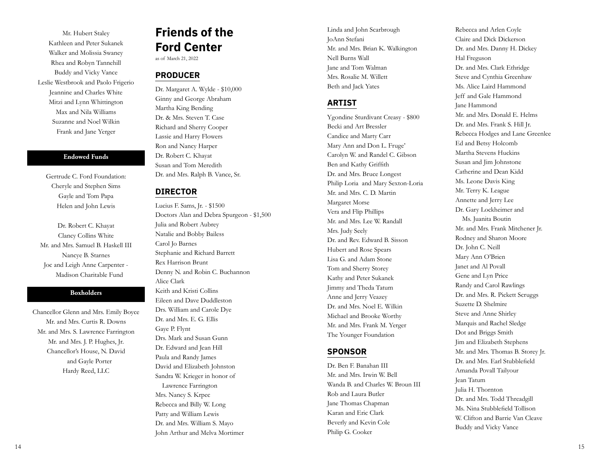Mr. Hubert Staley Kathleen and Peter Sukanek Walker and Molissia Swaney Rhea and Robyn Tannehill Buddy and Vicky Vance Leslie Westbrook and Paolo Frigerio Jeannine and Charles White Mitzi and Lynn Whittington Max and Nila Williams Suzanne and Noel Wilkin Frank and Jane Yerger

### **Endowed Funds**

Gertrude C. Ford Foundation: Cheryle and Stephen Sims Gayle and Tom Papa Helen and John Lewis

Dr. Robert C. Khayat Clancy Collins White Mr. and Mrs. Samuel B. Haskell III Nancye B. Starnes Joc and Leigh Anne Carpenter - Madison Charitable Fund

### **Boxholders**

Chancellor Glenn and Mrs. Emily Boyce Mr. and Mrs. Curtis R. Downs Mr. and Mrs. S. Lawrence Farrington Mr. and Mrs. J. P. Hughes, Jr. Chancellor's House, N. David and Gayle Porter Hardy Reed, LLC

# **Friends of the Ford Center**

as of March 21, 2022

# **PRODUCER**

Dr. Margaret A. Wylde - \$10,000 Ginny and George Abraham Martha King Bending Dr. & Mrs. Steven T. Case Richard and Sherry Cooper Lassie and Harry Flowers Ron and Nancy Harper Dr. Robert C. Khayat Susan and Tom Meredith Dr. and Mrs. Ralph B. Vance, Sr.

# **DIRECTOR**

Lucius F. Sams, Jr. - \$1500 Doctors Alan and Debra Spurgeon - \$1,500 Julia and Robert Aubrey Natalie and Bobby Bailess Carol Jo Barnes Stephanie and Richard Barrett Rex Harrison Brunt Denny N. and Robin C. Buchannon Alice Clark Keith and Kristi Collins Eileen and Dave Duddleston Drs. William and Carole Dye Dr. and Mrs. E. G. Ellis Gaye P. Flynt Drs. Mark and Susan Gunn Dr. Edward and Jean Hill Paula and Randy James David and Elizabeth Johnston Sandra W. Krieger in honor of Lawrence Farrington Mrs. Nancy S. Krpec Rebecca and Billy W. Long Patty and William Lewis Dr. and Mrs. William S. Mayo John Arthur and Melva Mortimer

Linda and John Scarbrough JoAnn Stefani Mr. and Mrs. Brian K. Walkington Nell Burns Wall Jane and Tom Walman Mrs. Rosalie M. Willett Beth and Jack Yates

# **ARTIST**

Ygondine Sturdivant Creasy - \$800 Becki and Art Bressler Candice and Marty Carr Mary Ann and Don L. Fruge' Carolyn W. and Randel C. Gibson Ben and Kathy Griffith Dr. and Mrs. Bruce Longest Philip Loria and Mary Sexton-Loria Mr. and Mrs. C. D. Martin Margaret Morse Vera and Flip Phillips Mr. and Mrs. Lee W. Randall Mrs. Judy Seely Dr. and Rev. Edward B. Sisson Hubert and Rose Spears Lisa G. and Adam Stone Tom and Sherry Storey Kathy and Peter Sukanek Jimmy and Theda Tatum Anne and Jerry Veazey Dr. and Mrs. Noel E. Wilkin Michael and Brooke Worthy Mr. and Mrs. Frank M. Yerger The Younger Foundation

# **SPONSOR**

Dr. Ben F. Banahan III Mr. and Mrs. Irwin W. Bell Wanda B. and Charles W. Broun III Rob and Laura Butler Jane Thomas Chapman Karan and Eric Clark Beverly and Kevin Cole Philip G. Cooker

Rebecca and Arlen Coyle Claire and Dick Dickerson Dr. and Mrs. Danny H. Dickey Hal Freguson Dr. and Mrs. Clark Ethridge Steve and Cynthia Greenhaw Ms. Alice Laird Hammond Jeff and Gale Hammond Jane Hammond Mr. and Mrs. Donald E. Helms Dr. and Mrs. Frank S. Hill Jr. Rebecca Hodges and Lane Greenlee Ed and Betsy Holcomb Martha Stevens Huckins Susan and Jim Johnstone Catherine and Dean Kidd Ms. Leone Davis King Mr. Terry K. League Annette and Jerry Lee Dr. Gary Lockheimer and Ms. Juanita Boutin Mr. and Mrs. Frank Mitchener Jr. Rodney and Sharon Moore Dr. John C. Neill Mary Ann O'Brien Janet and Al Povall Gene and Lyn Price Randy and Carol Rawlings Dr. and Mrs. R. Pickett Scruggs Suzette D. Shelmire Steve and Anne Shirley Marquis and Rachel Sledge Dot and Briggs Smith Jim and Elizabeth Stephens Mr. and Mrs. Thomas B. Storey Jr. Dr. and Mrs. Earl Stubblefield Amanda Povall Tailyour Jean Tatum Julia H. Thornton Dr. and Mrs. Todd Threadgill Ms. Nina Stubblefield Tollison W. Clifton and Barrie Van Cleave Buddy and Vicky Vance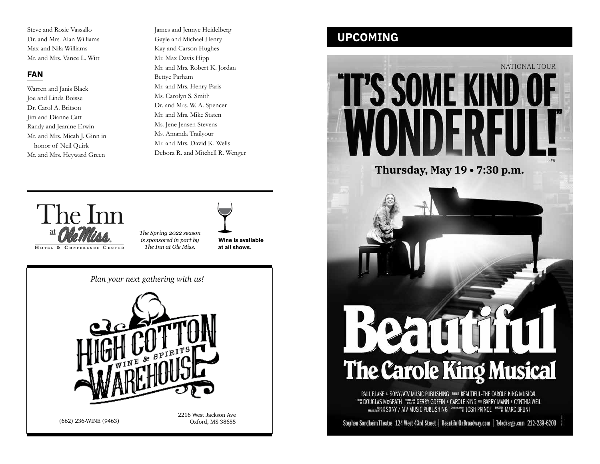Steve and Rosie Vassallo Dr. and Mrs. Alan Williams Max and Nila Williams Mr. and Mrs. Vance L. Witt

# **FAN**

Warren and Janis Black Joe and Linda Boisse Dr. Carol A. Britson Jim and Dianne Catt Randy and Jeanine Erwin Mr. and Mrs. Micah J. Ginn in honor of Neil Quirk Mr. and Mrs. Heyward Green

James and Jennye Heidelberg Gayle and Michael Henry Kay and Carson Hughes Mr. Max Davis Hipp Mr. and Mrs. Robert K. Jordan Bettye Parham Mr. and Mrs. Henry Paris Ms. Carolyn S. Smith Dr. and Mrs. W. A. Spencer Mr. and Mrs. Mike Staten Ms. Jene Jensen Stevens Ms. Amanda Trailyour Mr. and Mrs. David K. Wells Debora R. and Mitchell R. Wenger



*The Spring 2022 season is sponsored in part by The Inn at Ole Miss.*

**Wine is available at all shows.**

*Plan your next gathering with us!*



(662) 236-WINE (9463) Oxford, MS 38655

2216 West Jackson Ave

# **UPCOMING**



Stephen Sondheim Theatre 124 West 43rd Street | BeautifulOnBroadway.com | Telecharge.com 212-239-6200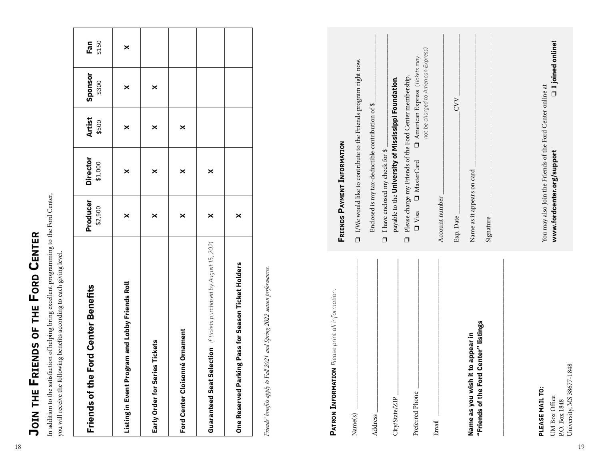| $\ddot{\phantom{a}}$ |
|----------------------|
| こと ちょうこ              |
|                      |
|                      |
| ֡֡֡֡֡֡֡֡             |
|                      |
| $\ddot{\phantom{a}}$ |
| $\frac{1}{2}$        |
|                      |
|                      |
| l                    |
| i                    |
|                      |
|                      |
| <b>.</b>             |

| Ford Center Benefits<br>Friends of the                            | Producer<br>\$2,500 | <b>Director</b><br>\$1,000 | <b>Artist</b><br>\$500 | Sponsor<br>\$300 | Fan<br>\$150 |
|-------------------------------------------------------------------|---------------------|----------------------------|------------------------|------------------|--------------|
| Listing in Event Program and Lobby Friends Roll                   | ×                   | ×                          | ×                      | ×                | ×            |
| Early Order for Series Tickets                                    | ×                   | ×                          | ×                      | ×                |              |
| Ford Center Cloisonné Ornament                                    | ×                   | ×                          | ×                      |                  |              |
| Guaranteed Seat Selection if tickets purchased by August 15, 2021 | ×                   | ×                          |                        |                  |              |
| One Reserved Parking Pass for Season Ticket Holders               | ×                   |                            |                        |                  |              |

| <b>Ford Center Benefits</b><br>Friends of the                               | Producer<br>\$2,500                                                                      | <b>Director</b><br>\$1,000                                                                                                    | <b>Artist</b><br>\$500 | Sponsor<br>\$300                                                            | \$150<br>Fan |
|-----------------------------------------------------------------------------|------------------------------------------------------------------------------------------|-------------------------------------------------------------------------------------------------------------------------------|------------------------|-----------------------------------------------------------------------------|--------------|
| Listing in Event Program and Lobby Friends Roll                             | $\boldsymbol{\times}$                                                                    | $\boldsymbol{\times}$                                                                                                         | $\boldsymbol{\times}$  | $\times$                                                                    | ×            |
| ries Tickets<br>Early Order for Ser                                         | ×                                                                                        | ×                                                                                                                             | ×                      | ×                                                                           |              |
| Ford Center Cloisonné Ornament                                              | ×                                                                                        | ×                                                                                                                             | ×                      |                                                                             |              |
| if tickets purchased by August 15, 2021<br><b>Guaranteed Seat Selection</b> | ×                                                                                        | ×                                                                                                                             |                        |                                                                             |              |
| Season Ticket Holders<br>king Pass for<br>Parl<br><b>One Reserved</b>       | $\boldsymbol{\times}$                                                                    |                                                                                                                               |                        |                                                                             |              |
| PATRON INFORMATION Please print all information.                            | <b>FRIENDS PAYMENT INFORMATION</b>                                                       |                                                                                                                               |                        |                                                                             |              |
|                                                                             |                                                                                          |                                                                                                                               |                        |                                                                             |              |
| Name(s)                                                                     | $\square$ I/We would like to contribute to the Friends program right now.                |                                                                                                                               |                        |                                                                             |              |
| Address                                                                     | $\Box$                                                                                   | Enclosed is my tax-deductible contribution of \$<br>I have enclosed my check for \$                                           |                        |                                                                             |              |
| Preferred Phone<br>City/State/ZIP                                           | $\Box$ Visa<br>$\Box$                                                                    | Please charge my Friends of the Ford Center membership.<br>payable to the University of Mississippi Foundation.<br>MasterCard |                        | not be charged to American Express)<br>$\Box$ American Express (Tickets may |              |
| Email                                                                       | Account number                                                                           |                                                                                                                               |                        |                                                                             |              |
| Name as you wish it to appear in                                            | Exp. Date                                                                                |                                                                                                                               |                        | <b>CVV</b>                                                                  |              |
| "Friends of the Ford Center" listings                                       | Name as it appears on card<br>Signature                                                  |                                                                                                                               |                        |                                                                             |              |
|                                                                             |                                                                                          |                                                                                                                               |                        |                                                                             |              |
| PLEASE MAIL TO:<br>UM Box Office                                            | You may also Join the Friends of the Ford Center online at<br>www.fordcenter.org/support |                                                                                                                               |                        | □ I joined online!                                                          |              |
| 1848<br>University, MS 38677-<br>P.O. Box 1848                              |                                                                                          |                                                                                                                               |                        |                                                                             |              |
| 19                                                                          |                                                                                          |                                                                                                                               |                        |                                                                             |              |